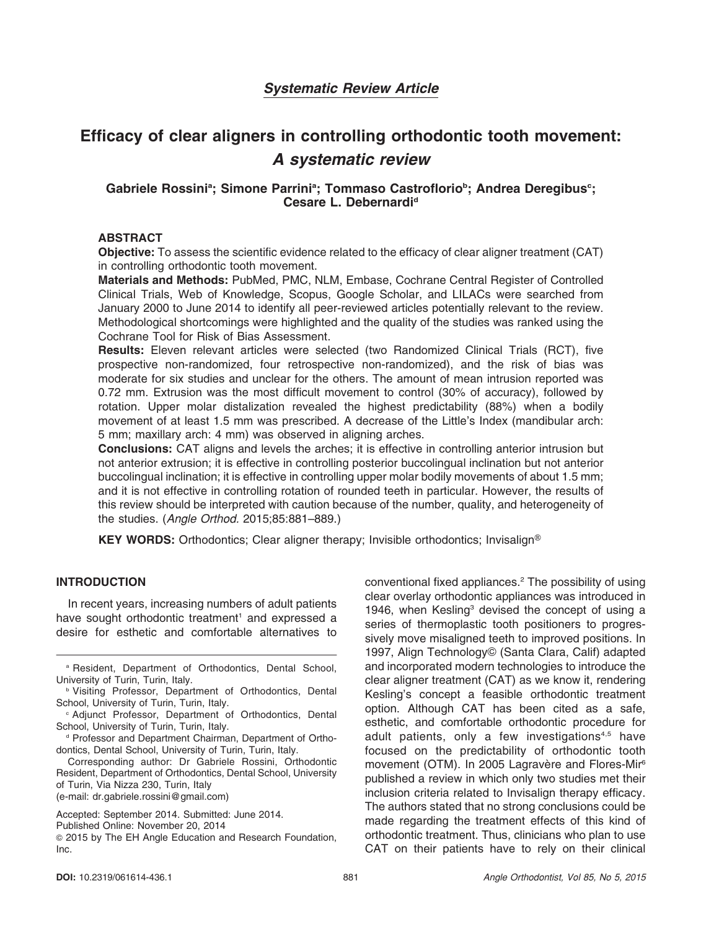# Systematic Review Article

# Efficacy of clear aligners in controlling orthodontic tooth movement: A systematic review

# Gabriele Rossini<sup>a</sup>; Simone Parrini<sup>a</sup>; Tommaso Castroflorio<sup>b</sup>; Andrea Deregibus<sup>c</sup>; Cesare L. Debernardi<sup>d</sup>

# ABSTRACT

Objective: To assess the scientific evidence related to the efficacy of clear aligner treatment (CAT) in controlling orthodontic tooth movement.

Materials and Methods: PubMed, PMC, NLM, Embase, Cochrane Central Register of Controlled Clinical Trials, Web of Knowledge, Scopus, Google Scholar, and LILACs were searched from January 2000 to June 2014 to identify all peer-reviewed articles potentially relevant to the review. Methodological shortcomings were highlighted and the quality of the studies was ranked using the Cochrane Tool for Risk of Bias Assessment.

Results: Eleven relevant articles were selected (two Randomized Clinical Trials (RCT), five prospective non-randomized, four retrospective non-randomized), and the risk of bias was moderate for six studies and unclear for the others. The amount of mean intrusion reported was 0.72 mm. Extrusion was the most difficult movement to control (30% of accuracy), followed by rotation. Upper molar distalization revealed the highest predictability (88%) when a bodily movement of at least 1.5 mm was prescribed. A decrease of the Little's Index (mandibular arch: 5 mm; maxillary arch: 4 mm) was observed in aligning arches.

Conclusions: CAT aligns and levels the arches; it is effective in controlling anterior intrusion but not anterior extrusion; it is effective in controlling posterior buccolingual inclination but not anterior buccolingual inclination; it is effective in controlling upper molar bodily movements of about 1.5 mm; and it is not effective in controlling rotation of rounded teeth in particular. However, the results of this review should be interpreted with caution because of the number, quality, and heterogeneity of the studies. (Angle Orthod. 2015;85:881–889.)

**KEY WORDS:** Orthodontics; Clear aligner therapy; Invisible orthodontics; Invisalign<sup>®</sup>

# INTRODUCTION

In recent years, increasing numbers of adult patients have sought orthodontic treatment<sup>1</sup> and expressed a desire for esthetic and comfortable alternatives to

Corresponding author: Dr Gabriele Rossini, Orthodontic Resident, Department of Orthodontics, Dental School, University of Turin, Via Nizza 230, Turin, Italy (e-mail: dr.gabriele.rossini@gmail.com)

Published Online: November 20, 2014

conventional fixed appliances.2 The possibility of using clear overlay orthodontic appliances was introduced in 1946, when Kesling<sup>3</sup> devised the concept of using a series of thermoplastic tooth positioners to progressively move misaligned teeth to improved positions. In 1997, Align Technology© (Santa Clara, Calif) adapted and incorporated modern technologies to introduce the clear aligner treatment (CAT) as we know it, rendering Kesling's concept a feasible orthodontic treatment option. Although CAT has been cited as a safe, esthetic, and comfortable orthodontic procedure for adult patients, only a few investigations<sup>4,5</sup> have focused on the predictability of orthodontic tooth movement (OTM). In 2005 Lagravère and Flores-Mir<sup>6</sup> published a review in which only two studies met their inclusion criteria related to Invisalign therapy efficacy. The authors stated that no strong conclusions could be made regarding the treatment effects of this kind of orthodontic treatment. Thus, clinicians who plan to use CAT on their patients have to rely on their clinical

<sup>a</sup> Resident, Department of Orthodontics, Dental School, University of Turin, Turin, Italy.

**b Visiting Professor, Department of Orthodontics, Dental** School, University of Turin, Turin, Italy.

<sup>c</sup> Adjunct Professor, Department of Orthodontics, Dental School, University of Turin, Turin, Italy.

<sup>d</sup> Professor and Department Chairman, Department of Orthodontics, Dental School, University of Turin, Turin, Italy.

Accepted: September 2014. Submitted: June 2014.

<sup>G</sup> 2015 by The EH Angle Education and Research Foundation, Inc.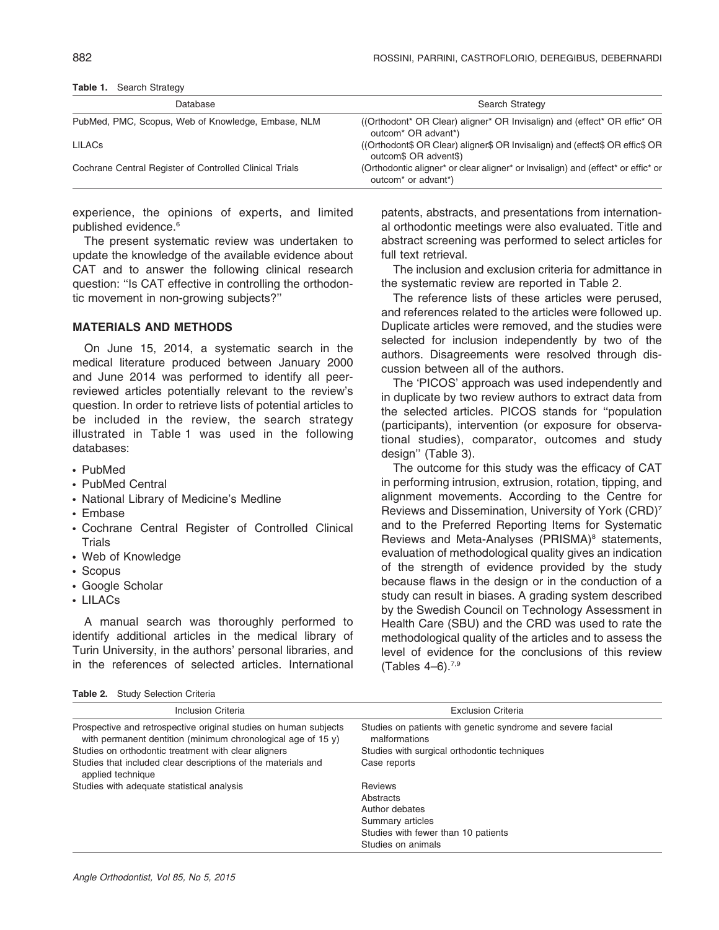| Database                                                | Search Strategy                                                                                                                  |  |  |
|---------------------------------------------------------|----------------------------------------------------------------------------------------------------------------------------------|--|--|
| PubMed, PMC, Scopus, Web of Knowledge, Embase, NLM      | (Orthodont* OR Clear) aligner* OR Invisalign) and (effect* OR effic* OR<br>outcom <sup>*</sup> OR advant <sup>*</sup> )          |  |  |
| <b>LILAC<sub>S</sub></b>                                | ((Orthodont\$ OR Clear) aligner\$ OR Invisalign) and (effect\$ OR effic\$ OR<br>outcom\$ OR advent\$)                            |  |  |
| Cochrane Central Register of Controlled Clinical Trials | (Orthodontic aligner* or clear aligner* or Invisalign) and (effect* or effic* or<br>outcom <sup>*</sup> or advant <sup>*</sup> ) |  |  |

Table 1. Search Strategy

experience, the opinions of experts, and limited published evidence.<sup>6</sup>

The present systematic review was undertaken to update the knowledge of the available evidence about CAT and to answer the following clinical research question: ''Is CAT effective in controlling the orthodontic movement in non-growing subjects?''

#### MATERIALS AND METHODS

On June 15, 2014, a systematic search in the medical literature produced between January 2000 and June 2014 was performed to identify all peerreviewed articles potentially relevant to the review's question. In order to retrieve lists of potential articles to be included in the review, the search strategy illustrated in Table 1 was used in the following databases:

- N PubMed
- PubMed Central
- National Library of Medicine's Medline
- Embase
- Cochrane Central Register of Controlled Clinical **Trials**
- Web of Knowledge
- Scopus
- Google Scholar
- LILACs

A manual search was thoroughly performed to identify additional articles in the medical library of Turin University, in the authors' personal libraries, and in the references of selected articles. International

Table 2. Study Selection Criteria

patents, abstracts, and presentations from international orthodontic meetings were also evaluated. Title and abstract screening was performed to select articles for full text retrieval.

The inclusion and exclusion criteria for admittance in the systematic review are reported in Table 2.

The reference lists of these articles were perused, and references related to the articles were followed up. Duplicate articles were removed, and the studies were selected for inclusion independently by two of the authors. Disagreements were resolved through discussion between all of the authors.

The 'PICOS' approach was used independently and in duplicate by two review authors to extract data from the selected articles. PICOS stands for ''population (participants), intervention (or exposure for observational studies), comparator, outcomes and study design'' (Table 3).

The outcome for this study was the efficacy of CAT in performing intrusion, extrusion, rotation, tipping, and alignment movements. According to the Centre for Reviews and Dissemination, University of York (CRD)7 and to the Preferred Reporting Items for Systematic Reviews and Meta-Analyses (PRISMA)<sup>8</sup> statements, evaluation of methodological quality gives an indication of the strength of evidence provided by the study because flaws in the design or in the conduction of a study can result in biases. A grading system described by the Swedish Council on Technology Assessment in Health Care (SBU) and the CRD was used to rate the methodological quality of the articles and to assess the level of evidence for the conclusions of this review (Tables  $4-6$ ).<sup>7,9</sup>

| <b>Inclusion Criteria</b>                                                                                                        | <b>Exclusion Criteria</b>                                                    |
|----------------------------------------------------------------------------------------------------------------------------------|------------------------------------------------------------------------------|
| Prospective and retrospective original studies on human subjects<br>with permanent dentition (minimum chronological age of 15 y) | Studies on patients with genetic syndrome and severe facial<br>malformations |
| Studies on orthodontic treatment with clear aligners                                                                             | Studies with surgical orthodontic techniques                                 |
| Studies that included clear descriptions of the materials and<br>applied technique                                               | Case reports                                                                 |
| Studies with adequate statistical analysis                                                                                       | <b>Reviews</b>                                                               |
|                                                                                                                                  | Abstracts                                                                    |
|                                                                                                                                  | Author debates                                                               |
|                                                                                                                                  | Summary articles                                                             |
|                                                                                                                                  | Studies with fewer than 10 patients                                          |
|                                                                                                                                  | Studies on animals                                                           |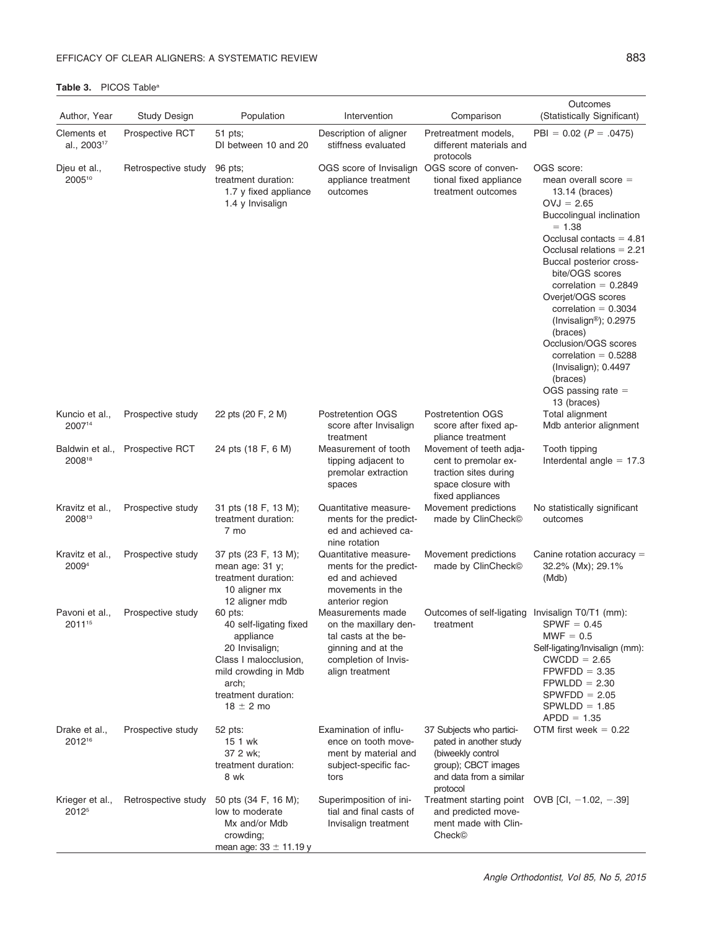| Author, Year                         | <b>Study Design</b> | Population                                                                                                                                                         | Intervention                                                                                                                        | Comparison                                                                                                                            | Outcomes<br>(Statistically Significant)                                                                                                                                                                                                                                                                                                                                                                                                                                              |
|--------------------------------------|---------------------|--------------------------------------------------------------------------------------------------------------------------------------------------------------------|-------------------------------------------------------------------------------------------------------------------------------------|---------------------------------------------------------------------------------------------------------------------------------------|--------------------------------------------------------------------------------------------------------------------------------------------------------------------------------------------------------------------------------------------------------------------------------------------------------------------------------------------------------------------------------------------------------------------------------------------------------------------------------------|
| Clements et                          | Prospective RCT     | 51 pts;                                                                                                                                                            | Description of aligner                                                                                                              | Pretreatment models,                                                                                                                  | $PBI = 0.02 (P = .0475)$                                                                                                                                                                                                                                                                                                                                                                                                                                                             |
| al., 2003 <sup>17</sup>              |                     | DI between 10 and 20                                                                                                                                               | stiffness evaluated                                                                                                                 | different materials and<br>protocols                                                                                                  |                                                                                                                                                                                                                                                                                                                                                                                                                                                                                      |
| Djeu et al.,<br>200510               | Retrospective study | 96 pts;<br>treatment duration:<br>1.7 y fixed appliance<br>1.4 y Invisalign                                                                                        | OGS score of Invisalign OGS score of conven-<br>appliance treatment<br>outcomes                                                     | tional fixed appliance<br>treatment outcomes                                                                                          | OGS score:<br>mean overall score $=$<br>13.14 (braces)<br>$OVJ = 2.65$<br>Buccolingual inclination<br>$= 1.38$<br>Occlusal contacts $= 4.81$<br>Occlusal relations $= 2.21$<br>Buccal posterior cross-<br>bite/OGS scores<br>correlation = $0.2849$<br>Overjet/OGS scores<br>correlation $= 0.3034$<br>(Invisalign <sup>®</sup> ); $0.2975$<br>(braces)<br>Occlusion/OGS scores<br>correlation = $0.5288$<br>(Invisalign); 0.4497<br>(braces)<br>OGS passing rate $=$<br>13 (braces) |
| Kuncio et al.,<br>200714             | Prospective study   | 22 pts (20 F, 2 M)                                                                                                                                                 | Postretention OGS<br>score after Invisalign<br>treatment                                                                            | <b>Postretention OGS</b><br>score after fixed ap-<br>pliance treatment                                                                | Total alignment<br>Mdb anterior alignment                                                                                                                                                                                                                                                                                                                                                                                                                                            |
| Baldwin et al.,<br>200818            | Prospective RCT     | 24 pts (18 F, 6 M)                                                                                                                                                 | Measurement of tooth<br>tipping adjacent to<br>premolar extraction<br>spaces                                                        | Movement of teeth adja-<br>cent to premolar ex-<br>traction sites during<br>space closure with<br>fixed appliances                    | Tooth tipping<br>Interdental angle $= 17.3$                                                                                                                                                                                                                                                                                                                                                                                                                                          |
| Kravitz et al.,<br>200813            | Prospective study   | 31 pts (18 F, 13 M);<br>treatment duration:<br>7 mo                                                                                                                | Quantitative measure-<br>ments for the predict-<br>ed and achieved ca-<br>nine rotation                                             | Movement predictions<br>made by ClinCheck <sup>®</sup>                                                                                | No statistically significant<br>outcomes                                                                                                                                                                                                                                                                                                                                                                                                                                             |
| Kravitz et al.,<br>2009 <sup>4</sup> | Prospective study   | 37 pts (23 F, 13 M);<br>mean age: 31 y;<br>treatment duration:<br>10 aligner mx<br>12 aligner mdb                                                                  | Quantitative measure-<br>ments for the predict-<br>ed and achieved<br>movements in the<br>anterior region                           | Movement predictions<br>made by ClinCheck <sup>®</sup>                                                                                | Canine rotation accuracy $=$<br>32.2% (Mx); 29.1%<br>(Mdb)                                                                                                                                                                                                                                                                                                                                                                                                                           |
| Pavoni et al<br>2011 <sup>15</sup>   | Prospective study   | 60 pts:<br>40 self-ligating fixed<br>appliance<br>20 Invisalign;<br>Class I malocclusion,<br>mild crowding in Mdb<br>arch;<br>treatment duration:<br>$18 \pm 2$ mo | Measurements made<br>on the maxillary den-<br>tal casts at the be-<br>ginning and at the<br>completion of Invis-<br>align treatment | Outcomes of self-ligating Invisalign T0/T1 (mm):<br>treatment                                                                         | $SPWF = 0.45$<br>$MWF = 0.5$<br>Self-ligating/Invisalign (mm):<br>$CWCDD = 2.65$<br>$FPWFDD = 3.35$<br>$FPWLDD = 2.30$<br>$SPWFDD = 2.05$<br>$SPWLDD = 1.85$<br>$APDD = 1.35$                                                                                                                                                                                                                                                                                                        |
| Drake et al.,<br>2012 <sup>16</sup>  | Prospective study   | 52 pts:<br>15 1 wk<br>37 2 wk;<br>treatment duration:<br>8 wk                                                                                                      | Examination of influ-<br>ence on tooth move-<br>ment by material and<br>subject-specific fac-<br>tors                               | 37 Subjects who partici-<br>pated in another study<br>(biweekly control<br>group); CBCT images<br>and data from a similar<br>protocol | OTM first week $= 0.22$                                                                                                                                                                                                                                                                                                                                                                                                                                                              |
| Krieger et al.,<br>2012 <sup>5</sup> | Retrospective study | 50 pts (34 F, 16 M);<br>low to moderate<br>Mx and/or Mdb<br>crowding;<br>mean age: $33 \pm 11.19$ y                                                                | Superimposition of ini-<br>tial and final casts of<br>Invisalign treatment                                                          | Treatment starting point OVB [CI, $-1.02$ , $-.39$ ]<br>and predicted move-<br>ment made with Clin-<br>Check <sup>©</sup>             |                                                                                                                                                                                                                                                                                                                                                                                                                                                                                      |

#### Table 3. PICOS Table<sup>a</sup>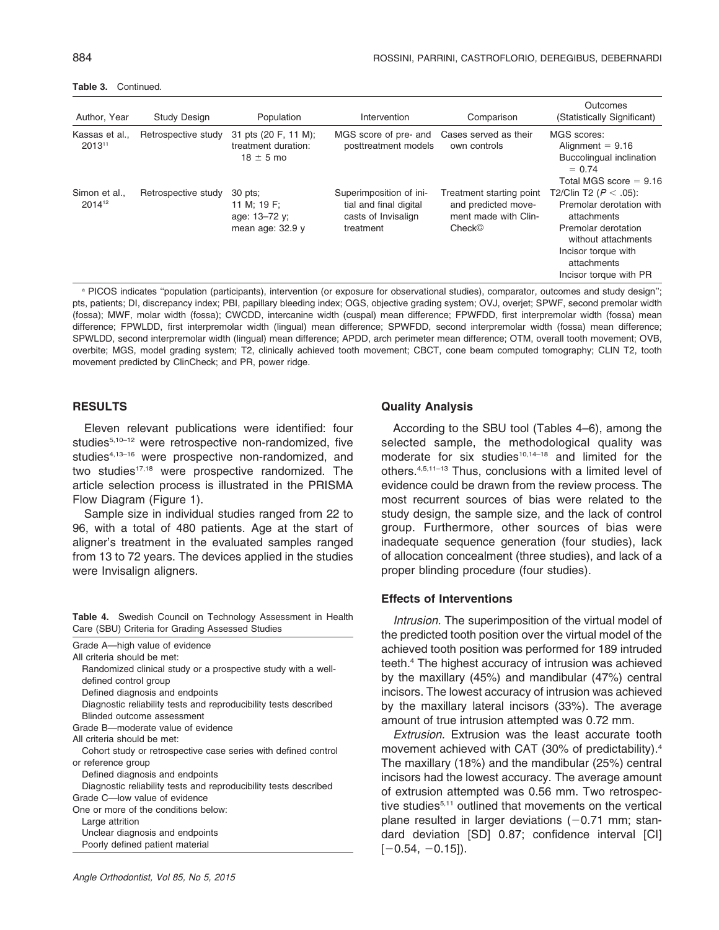Table 3. Continued.

| Author, Year                      | <b>Study Design</b> | Population                                                    | Intervention                                                                          | Comparison                                                                                    | Outcomes<br>(Statistically Significant)                                                                                                                                            |
|-----------------------------------|---------------------|---------------------------------------------------------------|---------------------------------------------------------------------------------------|-----------------------------------------------------------------------------------------------|------------------------------------------------------------------------------------------------------------------------------------------------------------------------------------|
| Kassas et al.,<br>201311          | Retrospective study | 31 pts (20 F, 11 M);<br>treatment duration:<br>$18 \pm 5$ mo  | MGS score of pre- and<br>posttreatment models                                         | Cases served as their<br>own controls                                                         | MGS scores:<br>Alignment $= 9.16$<br>Buccolingual inclination<br>$= 0.74$<br>Total MGS score $= 9.16$                                                                              |
| Simon et al<br>2014 <sup>12</sup> | Retrospective study | 30 pts:<br>11 M; 19 F;<br>age: 13-72 y;<br>mean age: $32.9$ y | Superimposition of ini-<br>tial and final digital<br>casts of Invisalign<br>treatment | Treatment starting point<br>and predicted move-<br>ment made with Clin-<br>Check <sup>®</sup> | T2/Clin T2 ( $P < .05$ ):<br>Premolar derotation with<br>attachments<br>Premolar derotation<br>without attachments<br>Incisor torque with<br>attachments<br>Incisor torque with PR |

a PICOS indicates "population (participants), intervention (or exposure for observational studies), comparator, outcomes and study design"; pts, patients; DI, discrepancy index; PBI, papillary bleeding index; OGS, objective grading system; OVJ, overjet; SPWF, second premolar width (fossa); MWF, molar width (fossa); CWCDD, intercanine width (cuspal) mean difference; FPWFDD, first interpremolar width (fossa) mean difference; FPWLDD, first interpremolar width (lingual) mean difference; SPWFDD, second interpremolar width (fossa) mean difference; SPWLDD, second interpremolar width (lingual) mean difference; APDD, arch perimeter mean difference; OTM, overall tooth movement; OVB, overbite; MGS, model grading system; T2, clinically achieved tooth movement; CBCT, cone beam computed tomography; CLIN T2, tooth movement predicted by ClinCheck; and PR, power ridge.

#### **RESULTS**

Eleven relevant publications were identified: four studies<sup>5,10-12</sup> were retrospective non-randomized, five studies<sup>4,13-16</sup> were prospective non-randomized, and two studies $17,18$  were prospective randomized. The article selection process is illustrated in the PRISMA Flow Diagram (Figure 1).

Sample size in individual studies ranged from 22 to 96, with a total of 480 patients. Age at the start of aligner's treatment in the evaluated samples ranged from 13 to 72 years. The devices applied in the studies were Invisalign aligners.

Table 4. Swedish Council on Technology Assessment in Health Care (SBU) Criteria for Grading Assessed Studies

| Grade A—high value of evidence<br>All criteria should be met:<br>Randomized clinical study or a prospective study with a well-<br>defined control group<br>Defined diagnosis and endpoints<br>Diagnostic reliability tests and reproducibility tests described<br>Blinded outcome assessment |
|----------------------------------------------------------------------------------------------------------------------------------------------------------------------------------------------------------------------------------------------------------------------------------------------|
| Grade B-moderate value of evidence                                                                                                                                                                                                                                                           |
| All criteria should be met:                                                                                                                                                                                                                                                                  |
| Cohort study or retrospective case series with defined control                                                                                                                                                                                                                               |
| or reference group                                                                                                                                                                                                                                                                           |
| Defined diagnosis and endpoints                                                                                                                                                                                                                                                              |
| Diagnostic reliability tests and reproducibility tests described                                                                                                                                                                                                                             |
| Grade C-low value of evidence                                                                                                                                                                                                                                                                |
| One or more of the conditions below:                                                                                                                                                                                                                                                         |
| Large attrition                                                                                                                                                                                                                                                                              |
| Unclear diagnosis and endpoints                                                                                                                                                                                                                                                              |
| Poorly defined patient material                                                                                                                                                                                                                                                              |

#### Quality Analysis

According to the SBU tool (Tables 4–6), among the selected sample, the methodological quality was moderate for six studies<sup>10,14–18</sup> and limited for the others.4,5,11–13 Thus, conclusions with a limited level of evidence could be drawn from the review process. The most recurrent sources of bias were related to the study design, the sample size, and the lack of control group. Furthermore, other sources of bias were inadequate sequence generation (four studies), lack of allocation concealment (three studies), and lack of a proper blinding procedure (four studies).

#### Effects of Interventions

Intrusion. The superimposition of the virtual model of the predicted tooth position over the virtual model of the achieved tooth position was performed for 189 intruded teeth.4 The highest accuracy of intrusion was achieved by the maxillary (45%) and mandibular (47%) central incisors. The lowest accuracy of intrusion was achieved by the maxillary lateral incisors (33%). The average amount of true intrusion attempted was 0.72 mm.

Extrusion. Extrusion was the least accurate tooth movement achieved with CAT (30% of predictability).4 The maxillary (18%) and the mandibular (25%) central incisors had the lowest accuracy. The average amount of extrusion attempted was 0.56 mm. Two retrospective studies<sup>5,11</sup> outlined that movements on the vertical plane resulted in larger deviations  $(-0.71$  mm; standard deviation [SD] 0.87; confidence interval [CI]  $[-0.54, -0.15]$ .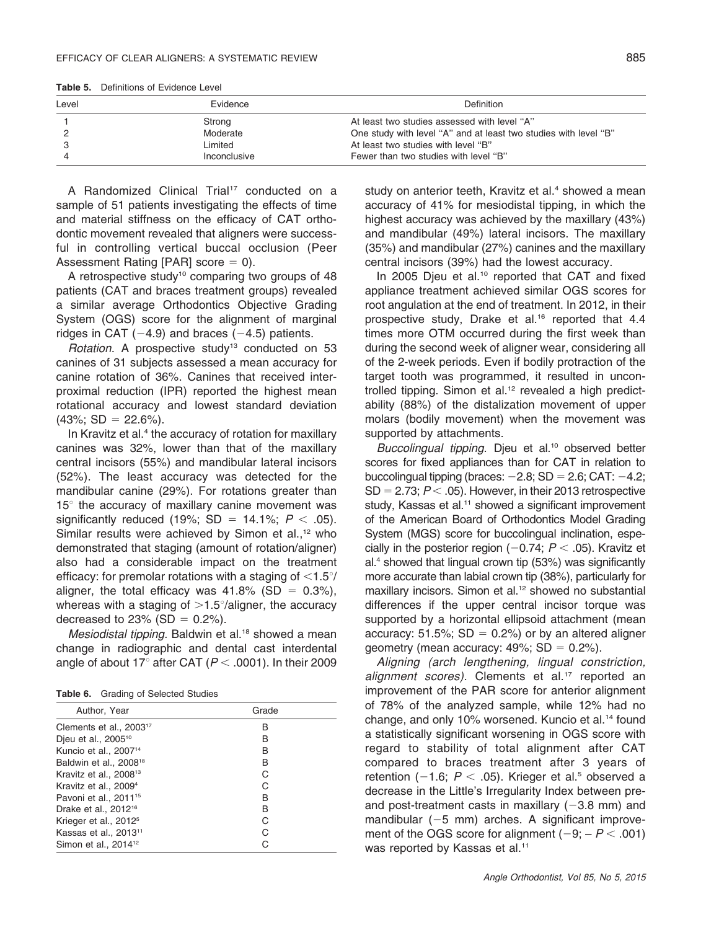| Level | Evidence     | Definition                                                       |
|-------|--------------|------------------------------------------------------------------|
|       | Strong       | At least two studies assessed with level "A"                     |
|       | Moderate     | One study with level "A" and at least two studies with level "B" |
|       | Limited      | At least two studies with level "B"                              |
|       | Inconclusive | Fewer than two studies with level "B"                            |

Table 5. Definitions of Evidence Level

A Randomized Clinical Trial<sup>17</sup> conducted on a sample of 51 patients investigating the effects of time and material stiffness on the efficacy of CAT orthodontic movement revealed that aligners were successful in controlling vertical buccal occlusion (Peer Assessment Rating [PAR] score  $= 0$ ).

A retrospective study<sup>10</sup> comparing two groups of 48 patients (CAT and braces treatment groups) revealed a similar average Orthodontics Objective Grading System (OGS) score for the alignment of marginal ridges in CAT  $(-4.9)$  and braces  $(-4.5)$  patients.

Rotation. A prospective study<sup>13</sup> conducted on 53 canines of 31 subjects assessed a mean accuracy for canine rotation of 36%. Canines that received interproximal reduction (IPR) reported the highest mean rotational accuracy and lowest standard deviation  $(43\%; SD = 22.6\%).$ 

In Kravitz et al.<sup>4</sup> the accuracy of rotation for maxillary canines was 32%, lower than that of the maxillary central incisors (55%) and mandibular lateral incisors (52%). The least accuracy was detected for the mandibular canine (29%). For rotations greater than  $15^\circ$  the accuracy of maxillary canine movement was significantly reduced (19%; SD = 14.1%;  $P < .05$ ). Similar results were achieved by Simon et al., $12$  who demonstrated that staging (amount of rotation/aligner) also had a considerable impact on the treatment efficacy: for premolar rotations with a staging of  $\langle 1.5^\circ/$ aligner, the total efficacy was  $41.8\%$  (SD = 0.3%), whereas with a staging of  $>1.5^{\circ}/\text{align}$  the accuracy decreased to 23% (SD =  $0.2%$ ).

Mesiodistal tipping. Baldwin et al.<sup>18</sup> showed a mean change in radiographic and dental cast interdental angle of about 17° after CAT ( $P < .0001$ ). In their 2009

| Table 6. | Grading of Selected Studies |  |  |
|----------|-----------------------------|--|--|
|----------|-----------------------------|--|--|

| Author, Year                        | Grade |
|-------------------------------------|-------|
| Clements et al., 2003 <sup>17</sup> | в     |
| Djeu et al., 2005 <sup>10</sup>     | в     |
| Kuncio et al., 2007 <sup>14</sup>   | в     |
| Baldwin et al., 2008 <sup>18</sup>  | в     |
| Kravitz et al., 2008 <sup>13</sup>  | C     |
| Kravitz et al., 2009 <sup>4</sup>   |       |
| Pavoni et al., 2011 <sup>15</sup>   | в     |
| Drake et al., 2012 <sup>16</sup>    | в     |
| Krieger et al., 2012 <sup>5</sup>   |       |
| Kassas et al., 2013 <sup>11</sup>   |       |
| Simon et al., 2014 <sup>12</sup>    |       |

study on anterior teeth, Kravitz et al.<sup>4</sup> showed a mean accuracy of 41% for mesiodistal tipping, in which the highest accuracy was achieved by the maxillary (43%) and mandibular (49%) lateral incisors. The maxillary (35%) and mandibular (27%) canines and the maxillary central incisors (39%) had the lowest accuracy.

In 2005 Djeu et al.<sup>10</sup> reported that CAT and fixed appliance treatment achieved similar OGS scores for root angulation at the end of treatment. In 2012, in their prospective study, Drake et al.<sup>16</sup> reported that 4.4 times more OTM occurred during the first week than during the second week of aligner wear, considering all of the 2-week periods. Even if bodily protraction of the target tooth was programmed, it resulted in uncontrolled tipping. Simon et al.<sup>12</sup> revealed a high predictability (88%) of the distalization movement of upper molars (bodily movement) when the movement was supported by attachments.

Buccolingual tipping. Djeu et al.<sup>10</sup> observed better scores for fixed appliances than for CAT in relation to buccolingual tipping (braces:  $-2.8$ ; SD = 2.6; CAT:  $-4.2$ ;  $SD = 2.73$ ;  $P < .05$ ). However, in their 2013 retrospective study, Kassas et al.<sup>11</sup> showed a significant improvement of the American Board of Orthodontics Model Grading System (MGS) score for buccolingual inclination, especially in the posterior region  $(-0.74; P < .05)$ . Kravitz et al.4 showed that lingual crown tip (53%) was significantly more accurate than labial crown tip (38%), particularly for maxillary incisors. Simon et al.<sup>12</sup> showed no substantial differences if the upper central incisor torque was supported by a horizontal ellipsoid attachment (mean accuracy: 51.5%;  $SD = 0.2%$ ) or by an altered aligner geometry (mean accuracy:  $49\%$ ; SD = 0.2%).

Aligning (arch lengthening, lingual constriction, alignment scores). Clements et al.<sup>17</sup> reported an improvement of the PAR score for anterior alignment of 78% of the analyzed sample, while 12% had no change, and only 10% worsened. Kuncio et al.<sup>14</sup> found a statistically significant worsening in OGS score with regard to stability of total alignment after CAT compared to braces treatment after 3 years of retention (-1.6;  $P < .05$ ). Krieger et al.<sup>5</sup> observed a decrease in the Little's Irregularity Index between preand post-treatment casts in maxillary  $(-3.8 \text{ mm})$  and mandibular  $(-5 \text{ mm})$  arches. A significant improvement of the OGS score for alignment  $(-9; -P < .001)$ was reported by Kassas et al.<sup>11</sup>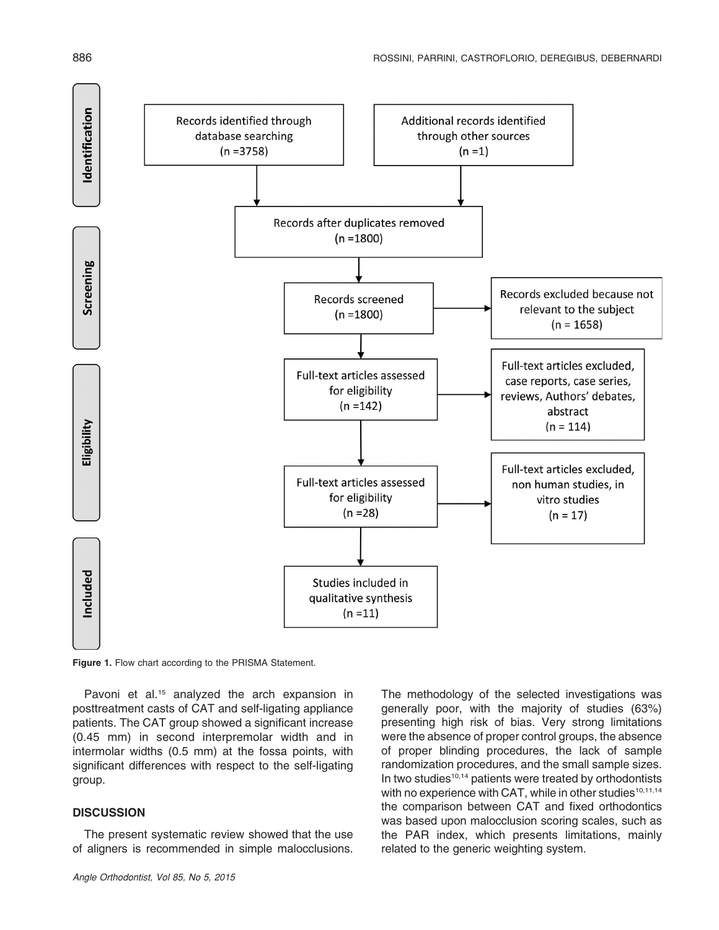

Figure 1. Flow chart according to the PRISMA Statement.

Pavoni et al.<sup>15</sup> analyzed the arch expansion in posttreatment casts of CAT and self-ligating appliance patients. The CAT group showed a significant increase (0.45 mm) in second interpremolar width and in intermolar widths (0.5 mm) at the fossa points, with significant differences with respect to the self-ligating group.

# **DISCUSSION**

The present systematic review showed that the use of aligners is recommended in simple malocclusions. The methodology of the selected investigations was generally poor, with the majority of studies (63%) presenting high risk of bias. Very strong limitations were the absence of proper control groups, the absence of proper blinding procedures, the lack of sample randomization procedures, and the small sample sizes. In two studies<sup>10,14</sup> patients were treated by orthodontists with no experience with CAT, while in other studies<sup>10,11,14</sup> the comparison between CAT and fixed orthodontics was based upon malocclusion scoring scales, such as the PAR index, which presents limitations, mainly related to the generic weighting system.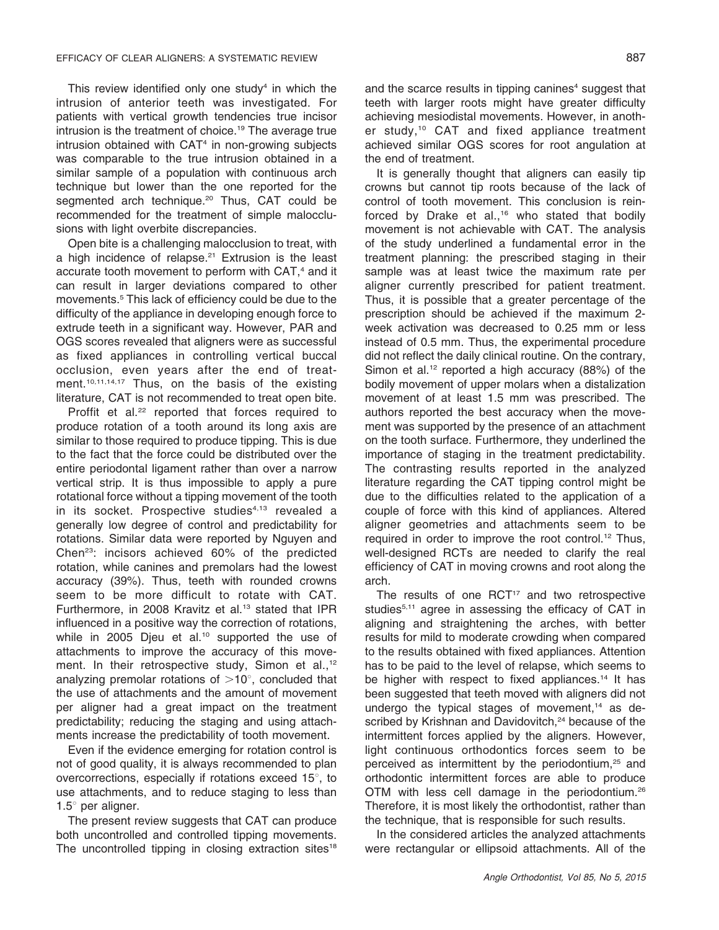This review identified only one study $4$  in which the intrusion of anterior teeth was investigated. For patients with vertical growth tendencies true incisor intrusion is the treatment of choice.<sup>19</sup> The average true intrusion obtained with CAT<sup>4</sup> in non-growing subjects was comparable to the true intrusion obtained in a similar sample of a population with continuous arch technique but lower than the one reported for the segmented arch technique.<sup>20</sup> Thus, CAT could be recommended for the treatment of simple malocclusions with light overbite discrepancies.

Open bite is a challenging malocclusion to treat, with a high incidence of relapse.<sup>21</sup> Extrusion is the least accurate tooth movement to perform with CAT,<sup>4</sup> and it can result in larger deviations compared to other movements.5 This lack of efficiency could be due to the difficulty of the appliance in developing enough force to extrude teeth in a significant way. However, PAR and OGS scores revealed that aligners were as successful as fixed appliances in controlling vertical buccal occlusion, even years after the end of treatment.<sup>10,11,14,17</sup> Thus, on the basis of the existing literature, CAT is not recommended to treat open bite.

Proffit et al.<sup>22</sup> reported that forces required to produce rotation of a tooth around its long axis are similar to those required to produce tipping. This is due to the fact that the force could be distributed over the entire periodontal ligament rather than over a narrow vertical strip. It is thus impossible to apply a pure rotational force without a tipping movement of the tooth in its socket. Prospective studies<sup>4,13</sup> revealed a generally low degree of control and predictability for rotations. Similar data were reported by Nguyen and Chen23: incisors achieved 60% of the predicted rotation, while canines and premolars had the lowest accuracy (39%). Thus, teeth with rounded crowns seem to be more difficult to rotate with CAT. Furthermore, in 2008 Kravitz et al.<sup>13</sup> stated that IPR influenced in a positive way the correction of rotations, while in 2005 Djeu et al.<sup>10</sup> supported the use of attachments to improve the accuracy of this movement. In their retrospective study, Simon et al.,<sup>12</sup> analyzing premolar rotations of  $>10^\circ$ , concluded that the use of attachments and the amount of movement per aligner had a great impact on the treatment predictability; reducing the staging and using attachments increase the predictability of tooth movement.

Even if the evidence emerging for rotation control is not of good quality, it is always recommended to plan overcorrections, especially if rotations exceed  $15^\circ$ , to use attachments, and to reduce staging to less than  $1.5^\circ$  per aligner.

The present review suggests that CAT can produce both uncontrolled and controlled tipping movements. The uncontrolled tipping in closing extraction sites<sup>18</sup> and the scarce results in tipping canines<sup>4</sup> suggest that teeth with larger roots might have greater difficulty achieving mesiodistal movements. However, in another study,10 CAT and fixed appliance treatment achieved similar OGS scores for root angulation at the end of treatment.

It is generally thought that aligners can easily tip crowns but cannot tip roots because of the lack of control of tooth movement. This conclusion is reinforced by Drake et al.,<sup>16</sup> who stated that bodily movement is not achievable with CAT. The analysis of the study underlined a fundamental error in the treatment planning: the prescribed staging in their sample was at least twice the maximum rate per aligner currently prescribed for patient treatment. Thus, it is possible that a greater percentage of the prescription should be achieved if the maximum 2 week activation was decreased to 0.25 mm or less instead of 0.5 mm. Thus, the experimental procedure did not reflect the daily clinical routine. On the contrary, Simon et al.<sup>12</sup> reported a high accuracy  $(88%)$  of the bodily movement of upper molars when a distalization movement of at least 1.5 mm was prescribed. The authors reported the best accuracy when the movement was supported by the presence of an attachment on the tooth surface. Furthermore, they underlined the importance of staging in the treatment predictability. The contrasting results reported in the analyzed literature regarding the CAT tipping control might be due to the difficulties related to the application of a couple of force with this kind of appliances. Altered aligner geometries and attachments seem to be required in order to improve the root control.<sup>12</sup> Thus, well-designed RCTs are needed to clarify the real efficiency of CAT in moving crowns and root along the arch.

The results of one RCT<sup>17</sup> and two retrospective studies<sup>5,11</sup> agree in assessing the efficacy of CAT in aligning and straightening the arches, with better results for mild to moderate crowding when compared to the results obtained with fixed appliances. Attention has to be paid to the level of relapse, which seems to be higher with respect to fixed appliances.<sup>14</sup> It has been suggested that teeth moved with aligners did not undergo the typical stages of movement, $14$  as described by Krishnan and Davidovitch,<sup>24</sup> because of the intermittent forces applied by the aligners. However, light continuous orthodontics forces seem to be perceived as intermittent by the periodontium,<sup>25</sup> and orthodontic intermittent forces are able to produce OTM with less cell damage in the periodontium.<sup>26</sup> Therefore, it is most likely the orthodontist, rather than the technique, that is responsible for such results.

In the considered articles the analyzed attachments were rectangular or ellipsoid attachments. All of the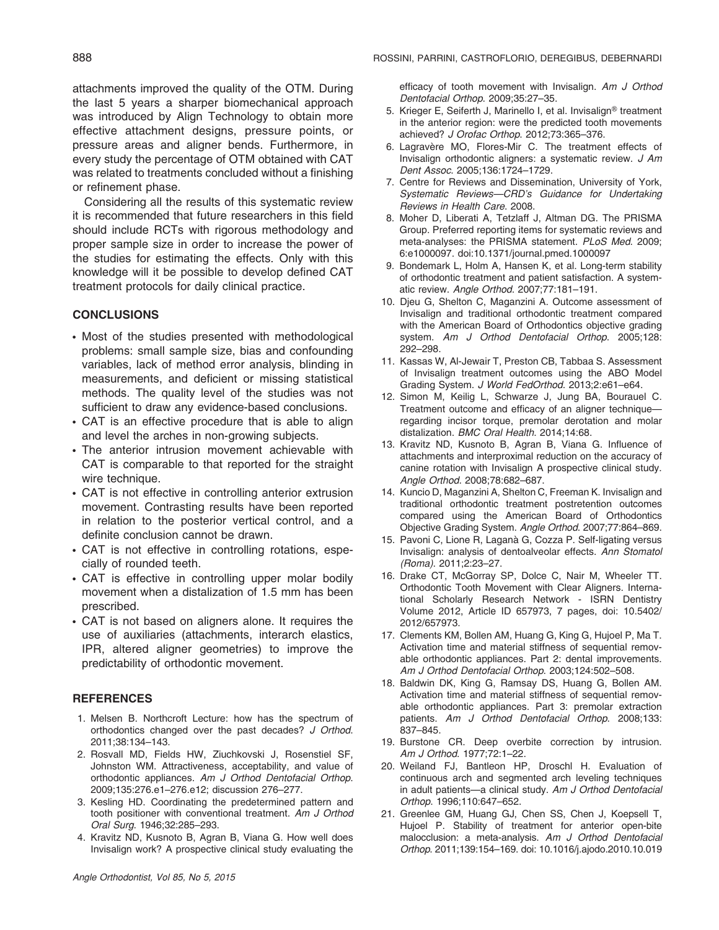attachments improved the quality of the OTM. During the last 5 years a sharper biomechanical approach was introduced by Align Technology to obtain more effective attachment designs, pressure points, or pressure areas and aligner bends. Furthermore, in every study the percentage of OTM obtained with CAT was related to treatments concluded without a finishing or refinement phase.

Considering all the results of this systematic review it is recommended that future researchers in this field should include RCTs with rigorous methodology and proper sample size in order to increase the power of the studies for estimating the effects. Only with this knowledge will it be possible to develop defined CAT treatment protocols for daily clinical practice.

## **CONCLUSIONS**

- Most of the studies presented with methodological problems: small sample size, bias and confounding variables, lack of method error analysis, blinding in measurements, and deficient or missing statistical methods. The quality level of the studies was not sufficient to draw any evidence-based conclusions.
- CAT is an effective procedure that is able to align and level the arches in non-growing subjects.
- The anterior intrusion movement achievable with CAT is comparable to that reported for the straight wire technique.
- CAT is not effective in controlling anterior extrusion movement. Contrasting results have been reported in relation to the posterior vertical control, and a definite conclusion cannot be drawn.
- CAT is not effective in controlling rotations, especially of rounded teeth.
- CAT is effective in controlling upper molar bodily movement when a distalization of 1.5 mm has been prescribed.
- CAT is not based on aligners alone. It requires the use of auxiliaries (attachments, interarch elastics, IPR, altered aligner geometries) to improve the predictability of orthodontic movement.

# **REFERENCES**

- 1. Melsen B. Northcroft Lecture: how has the spectrum of orthodontics changed over the past decades? J Orthod. 2011;38:134–143.
- 2. Rosvall MD, Fields HW, Ziuchkovski J, Rosenstiel SF, Johnston WM. Attractiveness, acceptability, and value of orthodontic appliances. Am J Orthod Dentofacial Orthop. 2009;135:276.e1–276.e12; discussion 276–277.
- 3. Kesling HD. Coordinating the predetermined pattern and tooth positioner with conventional treatment. Am J Orthod Oral Surg. 1946;32:285–293.
- 4. Kravitz ND, Kusnoto B, Agran B, Viana G. How well does Invisalign work? A prospective clinical study evaluating the

efficacy of tooth movement with Invisalign. Am J Orthod Dentofacial Orthop. 2009;35:27–35.

- 5. Krieger E, Seiferth J, Marinello I, et al. Invisalign<sup>®</sup> treatment in the anterior region: were the predicted tooth movements achieved? J Orofac Orthop. 2012;73:365–376.
- 6. Lagravère MO, Flores-Mir C. The treatment effects of Invisalign orthodontic aligners: a systematic review. J Am Dent Assoc. 2005;136:1724–1729.
- 7. Centre for Reviews and Dissemination, University of York, Systematic Reviews—CRD's Guidance for Undertaking Reviews in Health Care. 2008.
- 8. Moher D, Liberati A, Tetzlaff J, Altman DG. The PRISMA Group. Preferred reporting items for systematic reviews and meta-analyses: the PRISMA statement. PLoS Med. 2009; 6:e1000097. doi:10.1371/journal.pmed.1000097
- 9. Bondemark L, Holm A, Hansen K, et al. Long-term stability of orthodontic treatment and patient satisfaction. A systematic review. Angle Orthod. 2007;77:181–191.
- 10. Djeu G, Shelton C, Maganzini A. Outcome assessment of Invisalign and traditional orthodontic treatment compared with the American Board of Orthodontics objective grading system. Am J Orthod Dentofacial Orthop. 2005;128: 292–298.
- 11. Kassas W, Al-Jewair T, Preston CB, Tabbaa S. Assessment of Invisalign treatment outcomes using the ABO Model Grading System. J World FedOrthod. 2013;2:e61–e64.
- 12. Simon M, Keilig L, Schwarze J, Jung BA, Bourauel C. Treatment outcome and efficacy of an aligner technique regarding incisor torque, premolar derotation and molar distalization. BMC Oral Health. 2014;14:68.
- 13. Kravitz ND, Kusnoto B, Agran B, Viana G. Influence of attachments and interproximal reduction on the accuracy of canine rotation with Invisalign A prospective clinical study. Angle Orthod. 2008;78:682–687.
- 14. Kuncio D, Maganzini A, Shelton C, Freeman K. Invisalign and traditional orthodontic treatment postretention outcomes compared using the American Board of Orthodontics Objective Grading System. Angle Orthod. 2007;77:864–869.
- 15. Pavoni C, Lione R, Laganà G, Cozza P. Self-ligating versus Invisalign: analysis of dentoalveolar effects. Ann Stomatol (Roma). 2011;2:23–27.
- 16. Drake CT, McGorray SP, Dolce C, Nair M, Wheeler TT. Orthodontic Tooth Movement with Clear Aligners. International Scholarly Research Network - ISRN Dentistry Volume 2012, Article ID 657973, 7 pages, doi: 10.5402/ 2012/657973.
- 17. Clements KM, Bollen AM, Huang G, King G, Hujoel P, Ma T. Activation time and material stiffness of sequential removable orthodontic appliances. Part 2: dental improvements. Am J Orthod Dentofacial Orthop. 2003;124:502–508.
- 18. Baldwin DK, King G, Ramsay DS, Huang G, Bollen AM. Activation time and material stiffness of sequential removable orthodontic appliances. Part 3: premolar extraction patients. Am J Orthod Dentofacial Orthop. 2008;133: 837–845.
- 19. Burstone CR. Deep overbite correction by intrusion. Am J Orthod. 1977;72:1–22.
- 20. Weiland FJ, Bantleon HP, Droschl H. Evaluation of continuous arch and segmented arch leveling techniques in adult patients—a clinical study. Am J Orthod Dentofacial Orthop. 1996;110:647–652.
- 21. Greenlee GM, Huang GJ, Chen SS, Chen J, Koepsell T, Hujoel P. Stability of treatment for anterior open-bite malocclusion: a meta-analysis. Am J Orthod Dentofacial Orthop. 2011;139:154–169. doi: 10.1016/j.ajodo.2010.10.019